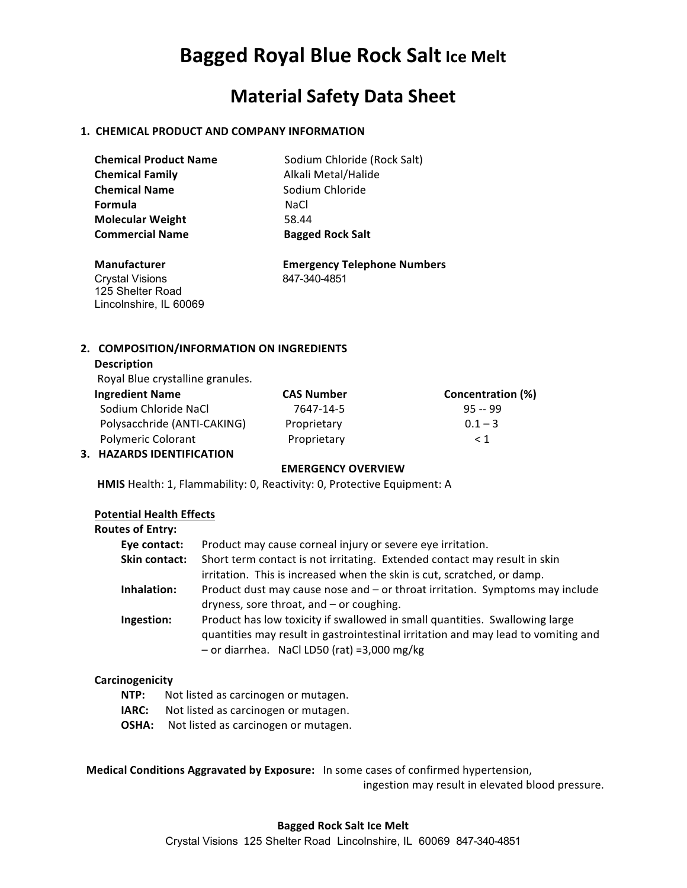# **Bagged Royal Blue Rock Salt Ice Melt**

# **Material Safety Data Sheet**

# **1. CHEMICAL PRODUCT AND COMPANY INFORMATION**

| <b>Chemical Product Name</b> | Sodium Chloride (Rock Salt) |
|------------------------------|-----------------------------|
| <b>Chemical Family</b>       | Alkali Metal/Halide         |
| <b>Chemical Name</b>         | Sodium Chloride             |
| <b>Formula</b>               | NaCl.                       |
| <b>Molecular Weight</b>      | 58.44                       |
| <b>Commercial Name</b>       | <b>Bagged Rock Salt</b>     |

Crystal Visions 847-340-4851 125 Shelter Road Lincolnshire, IL 60069

 **Manufacturer Emergency Telephone Numbers**

# **2. COMPOSITION/INFORMATION ON INGREDIENTS**

# **Description**

**Royal Blue crystalline granules.** 

| <b>Ingredient Name</b>      | <b>CAS Number</b> | Concentration (%) |
|-----------------------------|-------------------|-------------------|
| Sodium Chloride NaCl        | 7647-14-5         | $95 - 99$         |
| Polysacchride (ANTI-CAKING) | Proprietary       | $0.1 - 3$         |
| <b>Polymeric Colorant</b>   | Proprietary       | $\leq 1$          |
| 3. HAZARDS IDENTIFICATION   |                   |                   |

#### **EMERGENCY OVERVIEW**

**HMIS** Health: 1, Flammability: 0, Reactivity: 0, Protective Equipment: A

### **Potential Health Effects**

| <b>Routes of Entry:</b> |                                                                                   |
|-------------------------|-----------------------------------------------------------------------------------|
| Eye contact:            | Product may cause corneal injury or severe eye irritation.                        |
| Skin contact:           | Short term contact is not irritating. Extended contact may result in skin         |
|                         | irritation. This is increased when the skin is cut, scratched, or damp.           |
| Inhalation:             | Product dust may cause nose and - or throat irritation. Symptoms may include      |
|                         | dryness, sore throat, and - or coughing.                                          |
| Ingestion:              | Product has low toxicity if swallowed in small quantities. Swallowing large       |
|                         | quantities may result in gastrointestinal irritation and may lead to vomiting and |
|                         | $-$ or diarrhea. NaCl LD50 (rat) =3,000 mg/kg                                     |

#### **Carcinogenicity**

- **NTP:** Not listed as carcinogen or mutagen.
- **IARC:** Not listed as carcinogen or mutagen.
- **OSHA:** Not listed as carcinogen or mutagen.

**Medical Conditions Aggravated by Exposure:** In some cases of confirmed hypertension,

ingestion may result in elevated blood pressure.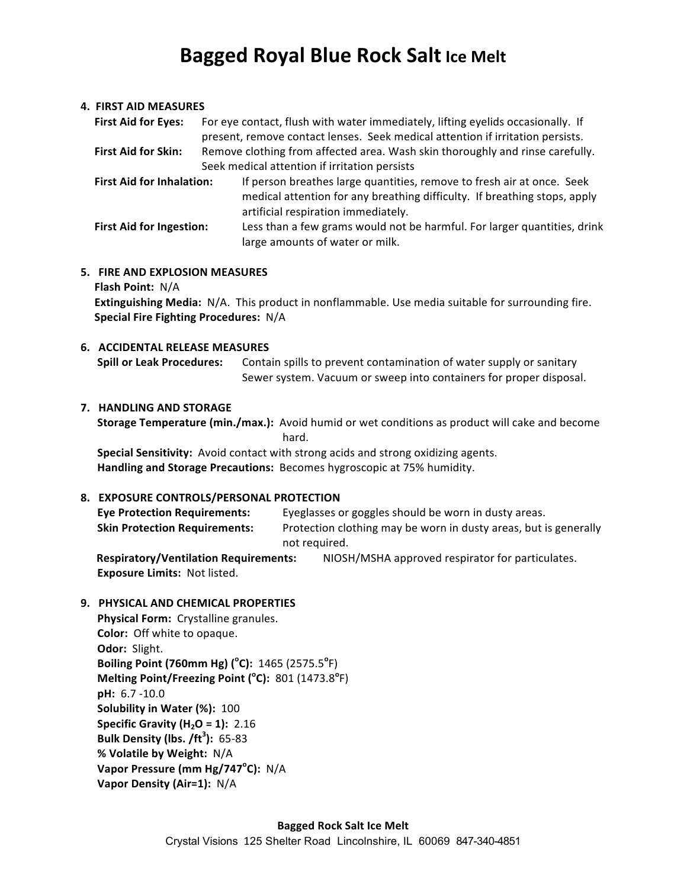# **Bagged Royal Blue Rock Salt Ice Melt**

#### **4. FIRST AID MEASURES**

| <b>First Aid for Eyes:</b>       | For eye contact, flush with water immediately, lifting eyelids occasionally. If |
|----------------------------------|---------------------------------------------------------------------------------|
|                                  | present, remove contact lenses. Seek medical attention if irritation persists.  |
| <b>First Aid for Skin:</b>       | Remove clothing from affected area. Wash skin thoroughly and rinse carefully.   |
|                                  | Seek medical attention if irritation persists                                   |
| <b>First Aid for Inhalation:</b> | If person breathes large quantities, remove to fresh air at once. Seek          |
|                                  | medical attention for any breathing difficulty. If breathing stops, apply       |
|                                  | artificial respiration immediately.                                             |
| <b>First Aid for Ingestion:</b>  | Less than a few grams would not be harmful. For larger quantities, drink        |
|                                  | large amounts of water or milk.                                                 |

#### **5. FIRE AND EXPLOSION MEASURES**

**Flash Point: N/A** 

**Extinguishing Media:** N/A. This product in nonflammable. Use media suitable for surrounding fire. **Special Fire Fighting Procedures: N/A** 

# **6. ACCIDENTAL RELEASE MEASURES**

**Spill or Leak Procedures:** Contain spills to prevent contamination of water supply or sanitary Sewer system. Vacuum or sweep into containers for proper disposal.

#### **7. HANDLING AND STORAGE**

**Storage Temperature (min./max.):** Avoid humid or wet conditions as product will cake and become hard.

**Special Sensitivity:** Avoid contact with strong acids and strong oxidizing agents. Handling and Storage Precautions: Becomes hygroscopic at 75% humidity.

#### **8. EXPOSURE CONTROLS/PERSONAL PROTECTION**

| <b>Eye Protection Requirements:</b>  | Eyeglasses or goggles should be worn in dusty areas.             |
|--------------------------------------|------------------------------------------------------------------|
| <b>Skin Protection Requirements:</b> | Protection clothing may be worn in dusty areas, but is generally |
|                                      | not required.                                                    |

**Respiratory/Ventilation Requirements:** NIOSH/MSHA approved respirator for particulates. **Exposure Limits: Not listed.** 

# **9. PHYSICAL AND CHEMICAL PROPERTIES**

**Physical Form:** Crystalline granules. **Color:** Off white to opaque. **Odor: Slight. Boiling Point (760mm Hg) (°C):** 1465 (2575.5°F) **Melting Point/Freezing Point (°C):** 801 (1473.8°F) **pH:** 6.7 -10.0 **Solubility in Water (%): 100 Specific Gravity (H<sub>2</sub>O = 1): 2.16 Bulk Density (lbs. /ft<sup>3</sup> ):** 65-83 **% Volatile by Weight:** N/A **Vapor Pressure (mm Hg/747<sup>°</sup>C):** N/A **Vapor Density (Air=1):** N/A